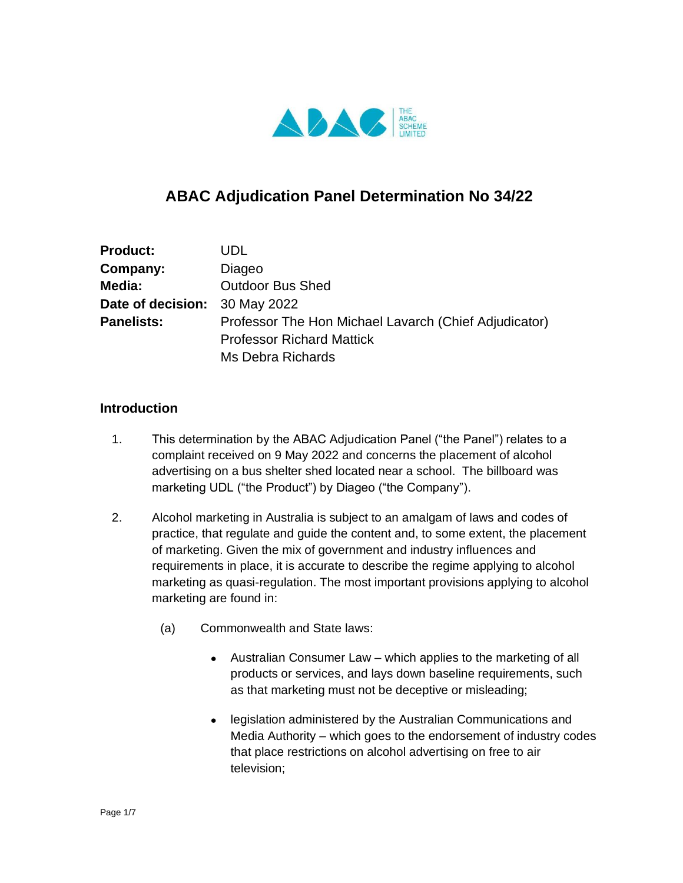

# **ABAC Adjudication Panel Determination No 34/22**

| <b>Product:</b>               | UDL.                                                  |
|-------------------------------|-------------------------------------------------------|
| Company:                      | Diageo                                                |
| Media:                        | <b>Outdoor Bus Shed</b>                               |
| Date of decision: 30 May 2022 |                                                       |
| <b>Panelists:</b>             | Professor The Hon Michael Lavarch (Chief Adjudicator) |
|                               | <b>Professor Richard Mattick</b>                      |
|                               | Ms Debra Richards                                     |

#### **Introduction**

- 1. This determination by the ABAC Adjudication Panel ("the Panel") relates to a complaint received on 9 May 2022 and concerns the placement of alcohol advertising on a bus shelter shed located near a school. The billboard was marketing UDL ("the Product") by Diageo ("the Company").
- 2. Alcohol marketing in Australia is subject to an amalgam of laws and codes of practice, that regulate and guide the content and, to some extent, the placement of marketing. Given the mix of government and industry influences and requirements in place, it is accurate to describe the regime applying to alcohol marketing as quasi-regulation. The most important provisions applying to alcohol marketing are found in:
	- (a) Commonwealth and State laws:
		- Australian Consumer Law which applies to the marketing of all products or services, and lays down baseline requirements, such as that marketing must not be deceptive or misleading;
		- legislation administered by the Australian Communications and Media Authority – which goes to the endorsement of industry codes that place restrictions on alcohol advertising on free to air television;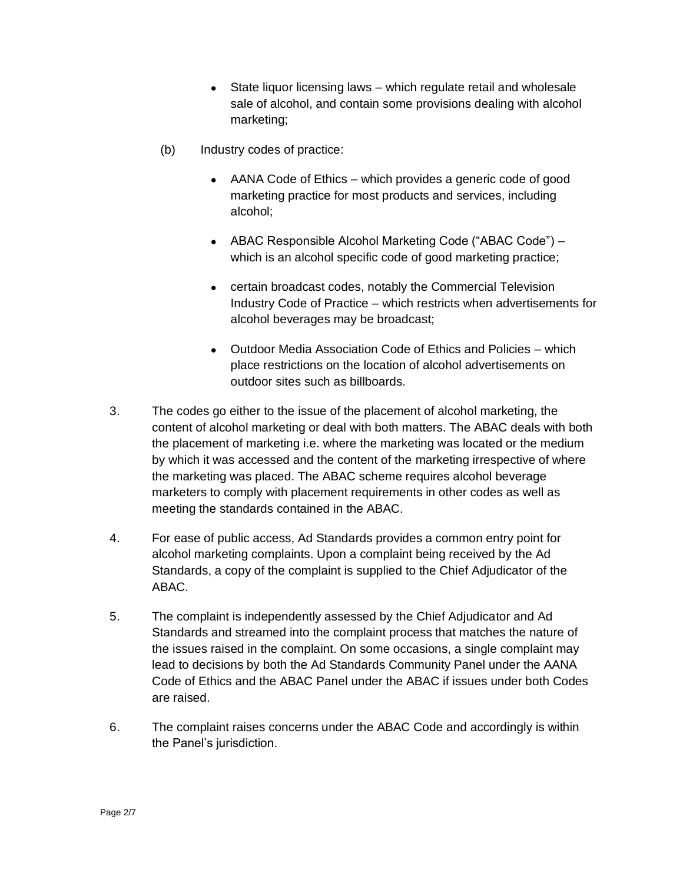- $\bullet$  State liquor licensing laws which regulate retail and wholesale sale of alcohol, and contain some provisions dealing with alcohol marketing;
- (b) Industry codes of practice:
	- AANA Code of Ethics which provides a generic code of good marketing practice for most products and services, including alcohol;
	- ABAC Responsible Alcohol Marketing Code ("ABAC Code") which is an alcohol specific code of good marketing practice;
	- certain broadcast codes, notably the Commercial Television Industry Code of Practice – which restricts when advertisements for alcohol beverages may be broadcast;
	- Outdoor Media Association Code of Ethics and Policies which place restrictions on the location of alcohol advertisements on outdoor sites such as billboards.
- 3. The codes go either to the issue of the placement of alcohol marketing, the content of alcohol marketing or deal with both matters. The ABAC deals with both the placement of marketing i.e. where the marketing was located or the medium by which it was accessed and the content of the marketing irrespective of where the marketing was placed. The ABAC scheme requires alcohol beverage marketers to comply with placement requirements in other codes as well as meeting the standards contained in the ABAC.
- 4. For ease of public access, Ad Standards provides a common entry point for alcohol marketing complaints. Upon a complaint being received by the Ad Standards, a copy of the complaint is supplied to the Chief Adjudicator of the ABAC.
- 5. The complaint is independently assessed by the Chief Adjudicator and Ad Standards and streamed into the complaint process that matches the nature of the issues raised in the complaint. On some occasions, a single complaint may lead to decisions by both the Ad Standards Community Panel under the AANA Code of Ethics and the ABAC Panel under the ABAC if issues under both Codes are raised.
- 6. The complaint raises concerns under the ABAC Code and accordingly is within the Panel's jurisdiction.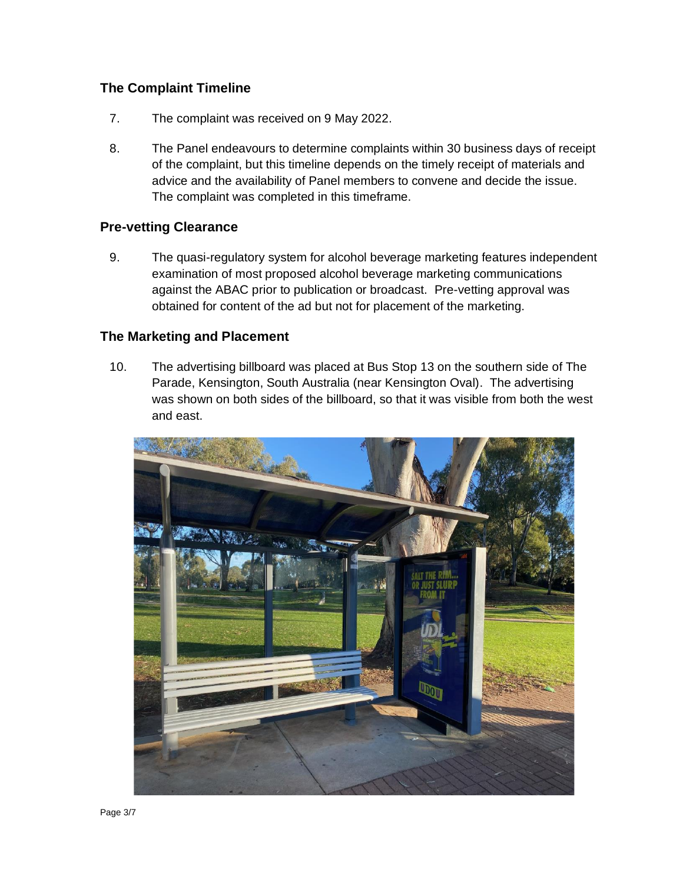## **The Complaint Timeline**

- 7. The complaint was received on 9 May 2022.
- 8. The Panel endeavours to determine complaints within 30 business days of receipt of the complaint, but this timeline depends on the timely receipt of materials and advice and the availability of Panel members to convene and decide the issue. The complaint was completed in this timeframe.

#### **Pre-vetting Clearance**

9. The quasi-regulatory system for alcohol beverage marketing features independent examination of most proposed alcohol beverage marketing communications against the ABAC prior to publication or broadcast. Pre-vetting approval was obtained for content of the ad but not for placement of the marketing.

#### **The Marketing and Placement**

10. The advertising billboard was placed at Bus Stop 13 on the southern side of The Parade, Kensington, South Australia (near Kensington Oval). The advertising was shown on both sides of the billboard, so that it was visible from both the west and east.

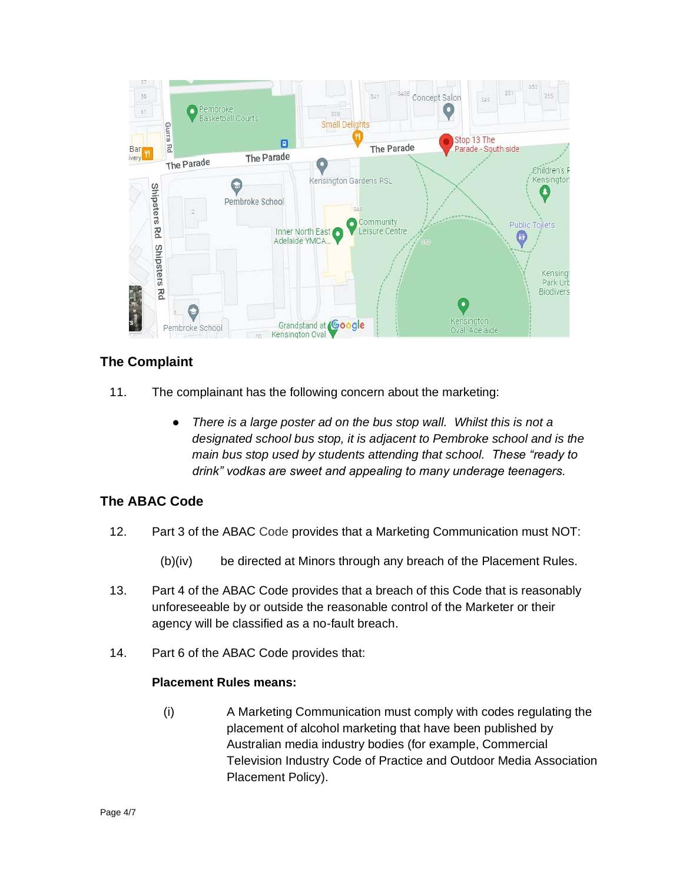

# **The Complaint**

- 11. The complainant has the following concern about the marketing:
	- *There is a large poster ad on the bus stop wall. Whilst this is not a designated school bus stop, it is adjacent to Pembroke school and is the main bus stop used by students attending that school. These "ready to drink" vodkas are sweet and appealing to many underage teenagers.*

# **The ABAC Code**

- 12. Part 3 of the ABAC Code provides that a Marketing Communication must NOT:
	- (b)(iv) be directed at Minors through any breach of the Placement Rules.
- 13. Part 4 of the ABAC Code provides that a breach of this Code that is reasonably unforeseeable by or outside the reasonable control of the Marketer or their agency will be classified as a no-fault breach.
- 14. Part 6 of the ABAC Code provides that:

#### **Placement Rules means:**

(i) A Marketing Communication must comply with codes regulating the placement of alcohol marketing that have been published by Australian media industry bodies (for example, Commercial Television Industry Code of Practice and Outdoor Media Association Placement Policy).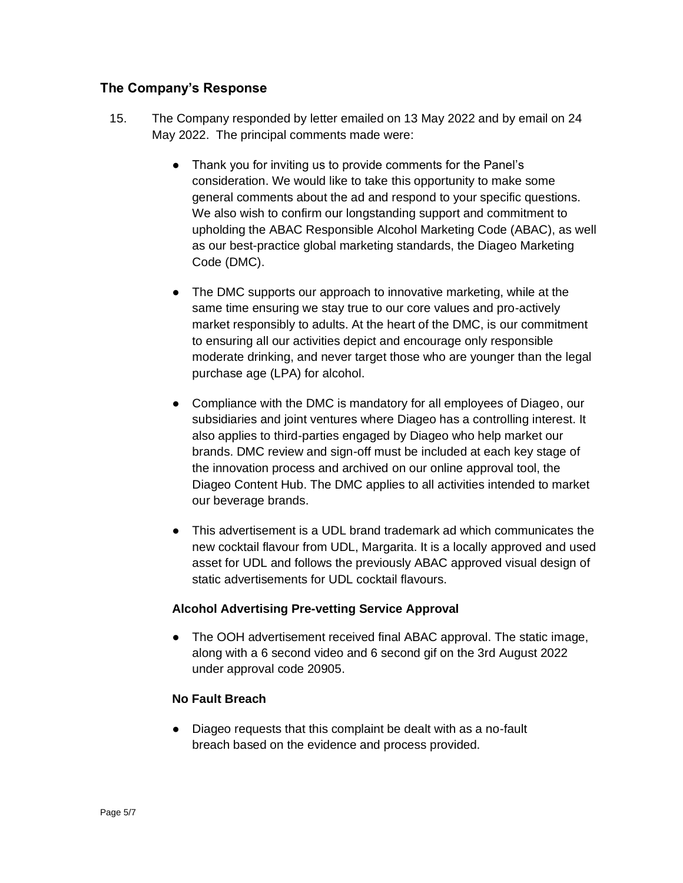## **The Company's Response**

- 15. The Company responded by letter emailed on 13 May 2022 and by email on 24 May 2022. The principal comments made were:
	- Thank you for inviting us to provide comments for the Panel's consideration. We would like to take this opportunity to make some general comments about the ad and respond to your specific questions. We also wish to confirm our longstanding support and commitment to upholding the ABAC Responsible Alcohol Marketing Code (ABAC), as well as our best-practice global marketing standards, the Diageo Marketing Code (DMC).
	- The DMC supports our approach to innovative marketing, while at the same time ensuring we stay true to our core values and pro-actively market responsibly to adults. At the heart of the DMC, is our commitment to ensuring all our activities depict and encourage only responsible moderate drinking, and never target those who are younger than the legal purchase age (LPA) for alcohol.
	- Compliance with the DMC is mandatory for all employees of Diageo, our subsidiaries and joint ventures where Diageo has a controlling interest. It also applies to third-parties engaged by Diageo who help market our brands. DMC review and sign-off must be included at each key stage of the innovation process and archived on our online approval tool, the Diageo Content Hub. The DMC applies to all activities intended to market our beverage brands.
	- This advertisement is a UDL brand trademark ad which communicates the new cocktail flavour from UDL, Margarita. It is a locally approved and used asset for UDL and follows the previously ABAC approved visual design of static advertisements for UDL cocktail flavours.

## **Alcohol Advertising Pre-vetting Service Approval**

● The OOH advertisement received final ABAC approval. The static image, along with a 6 second video and 6 second gif on the 3rd August 2022 under approval code 20905.

## **No Fault Breach**

● Diageo requests that this complaint be dealt with as a no-fault breach based on the evidence and process provided.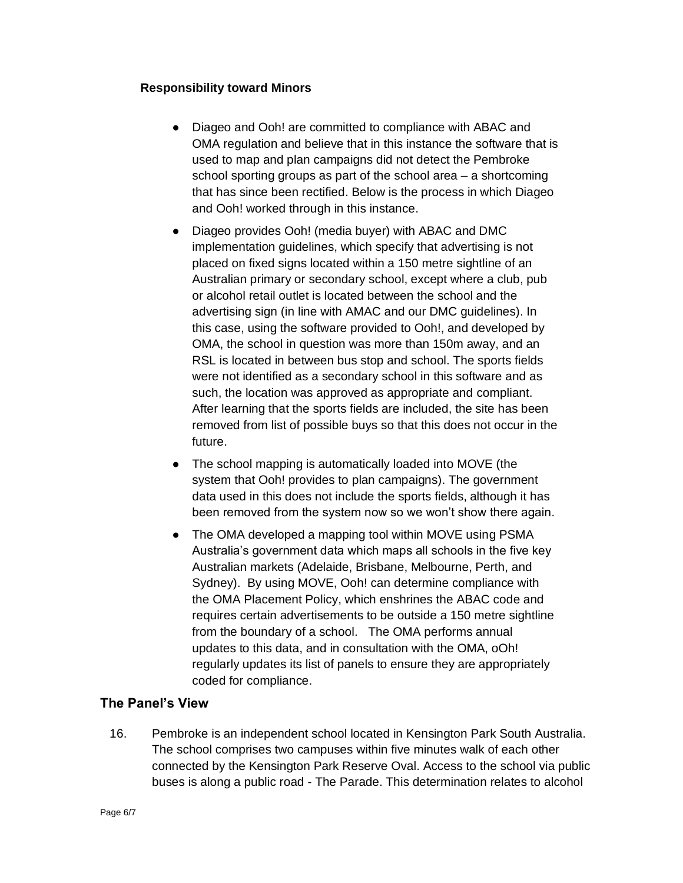#### **Responsibility toward Minors**

- Diageo and Ooh! are committed to compliance with ABAC and OMA regulation and believe that in this instance the software that is used to map and plan campaigns did not detect the Pembroke school sporting groups as part of the school area – a shortcoming that has since been rectified. Below is the process in which Diageo and Ooh! worked through in this instance.
- Diageo provides Ooh! (media buyer) with ABAC and DMC implementation guidelines, which specify that advertising is not placed on fixed signs located within a 150 metre sightline of an Australian primary or secondary school, except where a club, pub or alcohol retail outlet is located between the school and the advertising sign (in line with AMAC and our DMC guidelines). In this case, using the software provided to Ooh!, and developed by OMA, the school in question was more than 150m away, and an RSL is located in between bus stop and school. The sports fields were not identified as a secondary school in this software and as such, the location was approved as appropriate and compliant. After learning that the sports fields are included, the site has been removed from list of possible buys so that this does not occur in the future.
- The school mapping is automatically loaded into MOVE (the system that Ooh! provides to plan campaigns). The government data used in this does not include the sports fields, although it has been removed from the system now so we won't show there again*.*
- The OMA developed a mapping tool within MOVE using PSMA Australia's government data which maps all schools in the five key Australian markets (Adelaide, Brisbane, Melbourne, Perth, and Sydney). By using MOVE, Ooh! can determine compliance with the OMA Placement Policy, which enshrines the ABAC code and requires certain advertisements to be outside a 150 metre sightline from the boundary of a school. The OMA performs annual updates to this data, and in consultation with the OMA, oOh! regularly updates its list of panels to ensure they are appropriately coded for compliance.

#### **The Panel's View**

16. Pembroke is an independent school located in Kensington Park South Australia. The school comprises two campuses within five minutes walk of each other connected by the Kensington Park Reserve Oval. Access to the school via public buses is along a public road - The Parade. This determination relates to alcohol